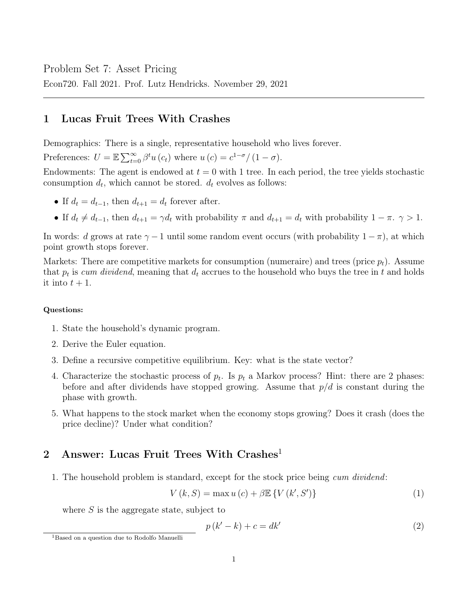Problem Set 7: Asset Pricing

Econ720. Fall 2021. Prof. Lutz Hendricks. November 29, 2021

# 1 Lucas Fruit Trees With Crashes

Demographics: There is a single, representative household who lives forever.

Preferences:  $U = \mathbb{E} \sum_{t=0}^{\infty} \beta^t u(c_t)$  where  $u(c) = c^{1-\sigma}/(1-\sigma)$ .

Endowments: The agent is endowed at  $t = 0$  with 1 tree. In each period, the tree yields stochastic consumption  $d_t$ , which cannot be stored.  $d_t$  evolves as follows:

- If  $d_t = d_{t-1}$ , then  $d_{t+1} = d_t$  forever after.
- If  $d_t \neq d_{t-1}$ , then  $d_{t+1} = \gamma d_t$  with probability  $\pi$  and  $d_{t+1} = d_t$  with probability  $1 \pi$ .  $\gamma > 1$ .

In words: d grows at rate  $\gamma - 1$  until some random event occurs (with probability  $1 - \pi$ ), at which point growth stops forever.

Markets: There are competitive markets for consumption (numeraire) and trees (price  $p_t$ ). Assume that  $p_t$  is cum dividend, meaning that  $d_t$  accrues to the household who buys the tree in t and holds it into  $t + 1$ .

## Questions:

- 1. State the household's dynamic program.
- 2. Derive the Euler equation.
- 3. Define a recursive competitive equilibrium. Key: what is the state vector?
- 4. Characterize the stochastic process of  $p_t$ . Is  $p_t$  a Markov process? Hint: there are 2 phases: before and after dividends have stopped growing. Assume that  $p/d$  is constant during the phase with growth.
- 5. What happens to the stock market when the economy stops growing? Does it crash (does the price decline)? Under what condition?

# 2 Answer: Lucas Fruit Trees With Crashes<sup>1</sup>

1. The household problem is standard, except for the stock price being cum dividend:

$$
V(k, S) = \max u(c) + \beta \mathbb{E}\left\{V(k', S')\right\}
$$
 (1)

where  $S$  is the aggregate state, subject to

$$
p(k'-k) + c = dk'
$$
\n(2)

<sup>1</sup>Based on a question due to Rodolfo Manuelli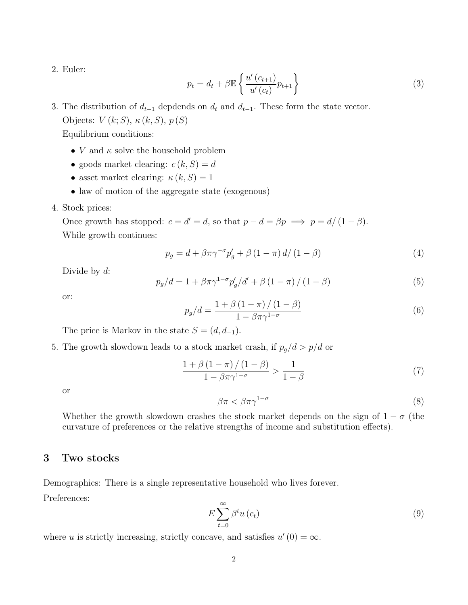2. Euler:

$$
p_t = d_t + \beta \mathbb{E} \left\{ \frac{u'(c_{t+1})}{u'(c_t)} p_{t+1} \right\} \tag{3}
$$

3. The distribution of  $d_{t+1}$  depdends on  $d_t$  and  $d_{t-1}$ . These form the state vector. Objects:  $V(k;S)$ ,  $\kappa(k, S)$ ,  $p(S)$ 

Equilibrium conditions:

- *V* and  $\kappa$  solve the household problem
- goods market clearing:  $c(k, S) = d$
- asset market clearing:  $\kappa(k, S) = 1$
- law of motion of the aggregate state (exogenous)
- 4. Stock prices:

Once growth has stopped:  $c = d' = d$ , so that  $p - d = \beta p \implies p = d/(1 - \beta)$ . While growth continues:

$$
p_g = d + \beta \pi \gamma^{-\sigma} p'_g + \beta \left(1 - \pi\right) d / \left(1 - \beta\right) \tag{4}
$$

Divide by  $d$ :

$$
p_g/d = 1 + \beta \pi \gamma^{1-\sigma} p'_g/d' + \beta (1-\pi) / (1-\beta)
$$
 (5)

or:

$$
p_g/d = \frac{1 + \beta \left(1 - \pi\right) / \left(1 - \beta\right)}{1 - \beta \pi \gamma^{1 - \sigma}}
$$
\n
$$
\tag{6}
$$

The price is Markov in the state  $S = (d, d_{-1})$ .

5. The growth slowdown leads to a stock market crash, if  $p_g/d > p/d$  or

$$
\frac{1+\beta(1-\pi)/(1-\beta)}{1-\beta\pi\gamma^{1-\sigma}} > \frac{1}{1-\beta}
$$
\n<sup>(7)</sup>

or

$$
\beta \pi < \beta \pi \gamma^{1-\sigma} \tag{8}
$$

Whether the growth slowdown crashes the stock market depends on the sign of  $1 - \sigma$  (the curvature of preferences or the relative strengths of income and substitution effects).

## 3 Two stocks

Demographics: There is a single representative household who lives forever.

Preferences:

$$
E\sum_{t=0}^{\infty} \beta^t u\left(c_t\right) \tag{9}
$$

where u is strictly increasing, strictly concave, and satisfies  $u'(0) = \infty$ .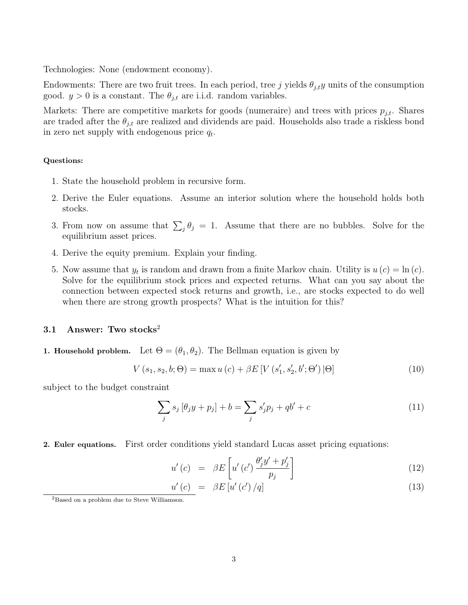Technologies: None (endowment economy).

Endowments: There are two fruit trees. In each period, tree j yields  $\theta_{j,t}$  units of the consumption good.  $y > 0$  is a constant. The  $\theta_{j,t}$  are i.i.d. random variables.

Markets: There are competitive markets for goods (numeraire) and trees with prices  $p_{j,t}$ . Shares are traded after the  $\theta_{j,t}$  are realized and dividends are paid. Households also trade a riskless bond in zero net supply with endogenous price  $q_t$ .

#### Questions:

- 1. State the household problem in recursive form.
- 2. Derive the Euler equations. Assume an interior solution where the household holds both stocks.
- 3. From now on assume that  $\sum_j \theta_j = 1$ . Assume that there are no bubbles. Solve for the equilibrium asset prices.
- 4. Derive the equity premium. Explain your finding.
- 5. Now assume that  $y_t$  is random and drawn from a finite Markov chain. Utility is  $u(c) = \ln(c)$ . Solve for the equilibrium stock prices and expected returns. What can you say about the connection between expected stock returns and growth, i.e., are stocks expected to do well when there are strong growth prospects? What is the intuition for this?

### 3.1 Answer: Two stocks<sup>2</sup>

**1. Household problem.** Let  $\Theta = (\theta_1, \theta_2)$ . The Bellman equation is given by

$$
V(s_1, s_2, b; \Theta) = \max u(c) + \beta E \left[ V(s'_1, s'_2, b'; \Theta') | \Theta \right]
$$
(10)

subject to the budget constraint

$$
\sum_{j} s_j [\theta_j y + p_j] + b = \sum_{j} s'_j p_j + qb' + c \tag{11}
$$

2. Euler equations. First order conditions yield standard Lucas asset pricing equations:

$$
u'(c) = \beta E \left[ u'(c') \frac{\theta'_j y' + p'_j}{p_j} \right] \tag{12}
$$

$$
\underline{u'(c)} = \beta E \left[ u'(c') / q \right] \tag{13}
$$

<sup>2</sup>Based on a problem due to Steve Williamson.